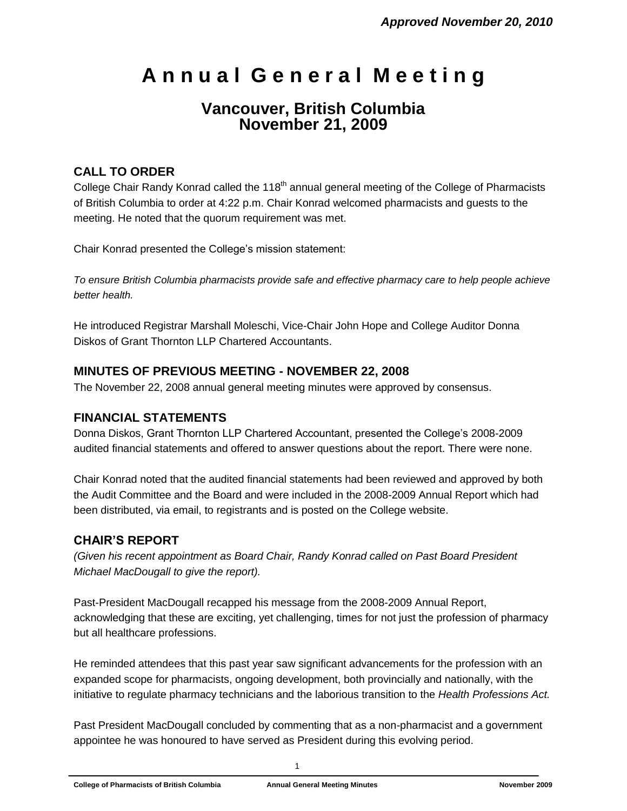# **A n n u a l G e n e r a l M e e t i n g**

# **Vancouver, British Columbia November 21, 2009**

# **CALL TO ORDER**

College Chair Randy Konrad called the 118<sup>th</sup> annual general meeting of the College of Pharmacists of British Columbia to order at 4:22 p.m. Chair Konrad welcomed pharmacists and guests to the meeting. He noted that the quorum requirement was met.

Chair Konrad presented the College's mission statement:

*To ensure British Columbia pharmacists provide safe and effective pharmacy care to help people achieve better health.*

He introduced Registrar Marshall Moleschi, Vice-Chair John Hope and College Auditor Donna Diskos of Grant Thornton LLP Chartered Accountants.

## **MINUTES OF PREVIOUS MEETING - NOVEMBER 22, 2008**

The November 22, 2008 annual general meeting minutes were approved by consensus.

### **FINANCIAL STATEMENTS**

Donna Diskos, Grant Thornton LLP Chartered Accountant, presented the College's 2008-2009 audited financial statements and offered to answer questions about the report. There were none.

Chair Konrad noted that the audited financial statements had been reviewed and approved by both the Audit Committee and the Board and were included in the 2008-2009 Annual Report which had been distributed, via email, to registrants and is posted on the College website.

### **CHAIR'S REPORT**

*(Given his recent appointment as Board Chair, Randy Konrad called on Past Board President Michael MacDougall to give the report).*

Past-President MacDougall recapped his message from the 2008-2009 Annual Report, acknowledging that these are exciting, yet challenging, times for not just the profession of pharmacy but all healthcare professions.

He reminded attendees that this past year saw significant advancements for the profession with an expanded scope for pharmacists, ongoing development, both provincially and nationally, with the initiative to regulate pharmacy technicians and the laborious transition to the *Health Professions Act.*

Past President MacDougall concluded by commenting that as a non-pharmacist and a government appointee he was honoured to have served as President during this evolving period.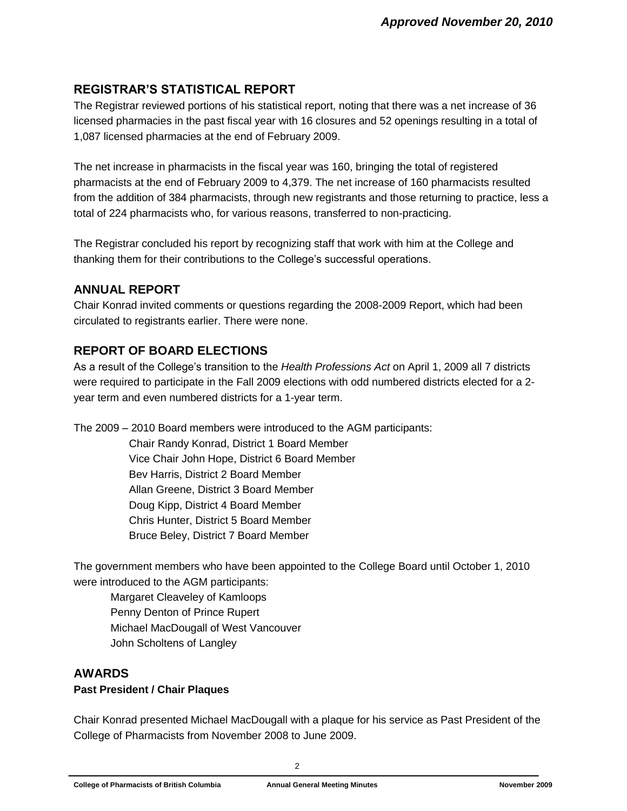# **REGISTRAR'S STATISTICAL REPORT**

The Registrar reviewed portions of his statistical report, noting that there was a net increase of 36 licensed pharmacies in the past fiscal year with 16 closures and 52 openings resulting in a total of 1,087 licensed pharmacies at the end of February 2009.

The net increase in pharmacists in the fiscal year was 160, bringing the total of registered pharmacists at the end of February 2009 to 4,379. The net increase of 160 pharmacists resulted from the addition of 384 pharmacists, through new registrants and those returning to practice, less a total of 224 pharmacists who, for various reasons, transferred to non-practicing.

The Registrar concluded his report by recognizing staff that work with him at the College and thanking them for their contributions to the College's successful operations.

### **ANNUAL REPORT**

Chair Konrad invited comments or questions regarding the 2008-2009 Report, which had been circulated to registrants earlier. There were none.

# **REPORT OF BOARD ELECTIONS**

As a result of the College's transition to the *Health Professions Act* on April 1, 2009 all 7 districts were required to participate in the Fall 2009 elections with odd numbered districts elected for a 2 year term and even numbered districts for a 1-year term.

The 2009 – 2010 Board members were introduced to the AGM participants:

Chair Randy Konrad, District 1 Board Member Vice Chair John Hope, District 6 Board Member Bev Harris, District 2 Board Member Allan Greene, District 3 Board Member Doug Kipp, District 4 Board Member Chris Hunter, District 5 Board Member Bruce Beley, District 7 Board Member

The government members who have been appointed to the College Board until October 1, 2010 were introduced to the AGM participants:

Margaret Cleaveley of Kamloops Penny Denton of Prince Rupert Michael MacDougall of West Vancouver John Scholtens of Langley

### **AWARDS**

#### **Past President / Chair Plaques**

Chair Konrad presented Michael MacDougall with a plaque for his service as Past President of the College of Pharmacists from November 2008 to June 2009.